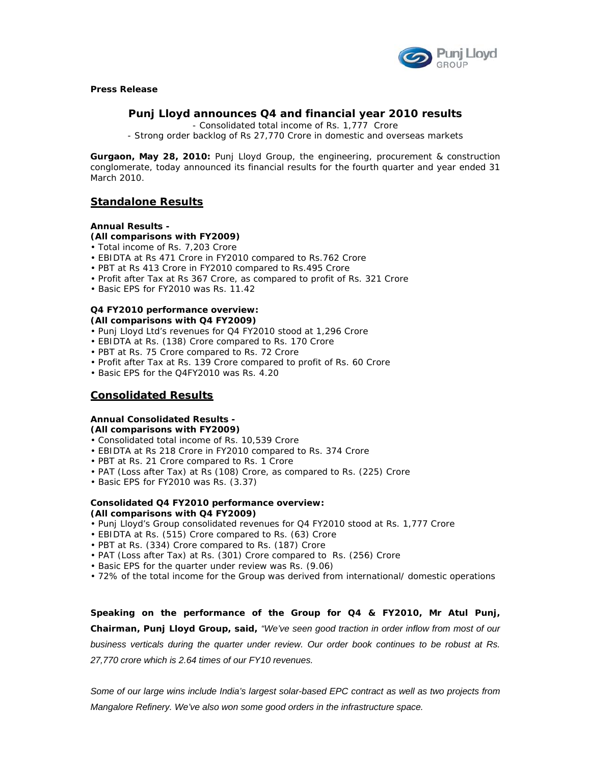

**Press Release** 

# **Punj Lloyd announces Q4 and financial year 2010 results**

- Consolidated total income of Rs. 1,777 Crore

- Strong order backlog of Rs 27,770 Crore in domestic and overseas markets

**Gurgaon, May 28, 2010:** Punj Lloyd Group, the engineering, procurement & construction conglomerate, today announced its financial results for the fourth quarter and year ended 31 March 2010.

# **Standalone Results**

# **Annual Results -**

# **(All comparisons with FY2009)**

- Total income of Rs. 7,203 Crore
- EBIDTA at Rs 471 Crore in FY2010 compared to Rs.762 Crore
- PBT at Rs 413 Crore in FY2010 compared to Rs.495 Crore
- Profit after Tax at Rs 367 Crore, as compared to profit of Rs. 321 Crore
- Basic EPS for FY2010 was Rs. 11.42

#### **Q4 FY2010 performance overview: (All comparisons with Q4 FY2009)**

- Punj Lloyd Ltd's revenues for Q4 FY2010 stood at 1,296 Crore
- EBIDTA at Rs. (138) Crore compared to Rs. 170 Crore
- PBT at Rs. 75 Crore compared to Rs. 72 Crore
- Profit after Tax at Rs. 139 Crore compared to profit of Rs. 60 Crore
- Basic EPS for the Q4FY2010 was Rs. 4.20

# **Consolidated Results**

### **Annual Consolidated Results - (All comparisons with FY2009)**

- Consolidated total income of Rs. 10,539 Crore
- EBIDTA at Rs 218 Crore in FY2010 compared to Rs. 374 Crore
- PBT at Rs. 21 Crore compared to Rs. 1 Crore
- PAT (Loss after Tax) at Rs (108) Crore, as compared to Rs. (225) Crore
- Basic EPS for FY2010 was Rs. (3.37)

## **Consolidated Q4 FY2010 performance overview: (All comparisons with Q4 FY2009)**

- Punj Lloyd's Group consolidated revenues for Q4 FY2010 stood at Rs. 1,777 Crore
- EBIDTA at Rs. (515) Crore compared to Rs. (63) Crore
- PBT at Rs. (334) Crore compared to Rs. (187) Crore
- PAT (Loss after Tax) at Rs. (301) Crore compared to Rs. (256) Crore
- Basic EPS for the quarter under review was Rs. (9.06)
- 72% of the total income for the Group was derived from international/ domestic operations

**Speaking on the performance of the Group for Q4 & FY2010, Mr Atul Punj, Chairman, Punj Lloyd Group, said,** *"We've seen good traction in order inflow from most of our business verticals during the quarter under review. Our order book continues to be robust at Rs. 27,770 crore which is 2.64 times of our FY10 revenues.* 

*Some of our large wins include India's largest solar-based EPC contract as well as two projects from Mangalore Refinery. We've also won some good orders in the infrastructure space.*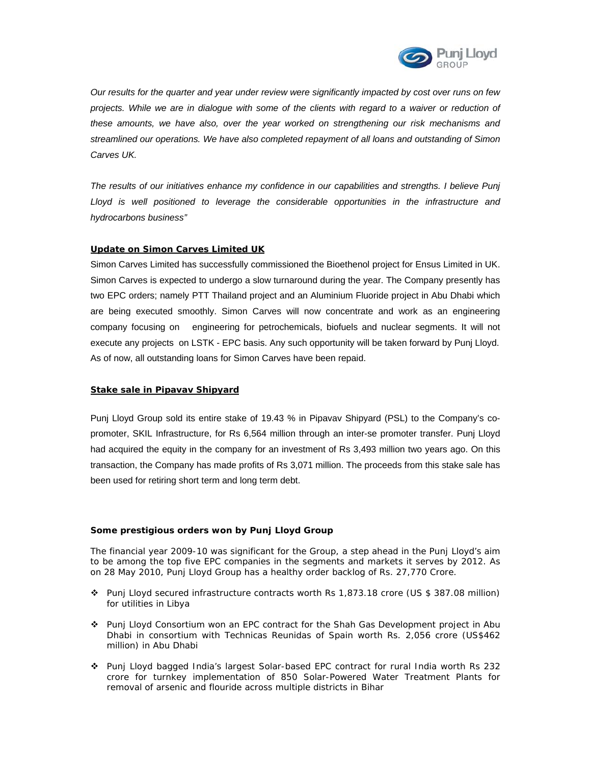

*Our results for the quarter and year under review were significantly impacted by cost over runs on few*  projects. While we are in dialogue with some of the clients with regard to a waiver or reduction of *these amounts, we have also, over the year worked on strengthening our risk mechanisms and streamlined our operations. We have also completed repayment of all loans and outstanding of Simon Carves UK.* 

*The results of our initiatives enhance my confidence in our capabilities and strengths. I believe Punj*  Lloyd is well positioned to leverage the considerable opportunities in the infrastructure and *hydrocarbons business"* 

# **Update on Simon Carves Limited UK**

Simon Carves Limited has successfully commissioned the Bioethenol project for Ensus Limited in UK. Simon Carves is expected to undergo a slow turnaround during the year. The Company presently has two EPC orders; namely PTT Thailand project and an Aluminium Fluoride project in Abu Dhabi which are being executed smoothly. Simon Carves will now concentrate and work as an engineering company focusing on engineering for petrochemicals, biofuels and nuclear segments. It will not execute any projects on LSTK - EPC basis. Any such opportunity will be taken forward by Punj Lloyd. As of now, all outstanding loans for Simon Carves have been repaid.

# **Stake sale in Pipavav Shipyard**

Punj Lloyd Group sold its entire stake of 19.43 % in Pipavav Shipyard (PSL) to the Company's copromoter, SKIL Infrastructure, for Rs 6,564 million through an inter-se promoter transfer. Punj Lloyd had acquired the equity in the company for an investment of Rs 3,493 million two years ago. On this transaction, the Company has made profits of Rs 3,071 million. The proceeds from this stake sale has been used for retiring short term and long term debt.

# **Some prestigious orders won by Punj Lloyd Group**

The financial year 2009-10 was significant for the Group, a step ahead in the Punj Lloyd's aim to be among the top five EPC companies in the segments and markets it serves by 2012. As on 28 May 2010, Punj Lloyd Group has a healthy order backlog of Rs. 27,770 Crore.

- Punj Lloyd secured infrastructure contracts worth Rs 1,873.18 crore (US \$ 387.08 million) for utilities in Libya
- Punj Lloyd Consortium won an EPC contract for the Shah Gas Development project in Abu Dhabi in consortium with Technicas Reunidas of Spain worth Rs. 2,056 crore (US\$462 million) in Abu Dhabi
- Punj Lloyd bagged India's largest Solar-based EPC contract for rural India worth Rs 232 crore for turnkey implementation of 850 Solar-Powered Water Treatment Plants for removal of arsenic and flouride across multiple districts in Bihar